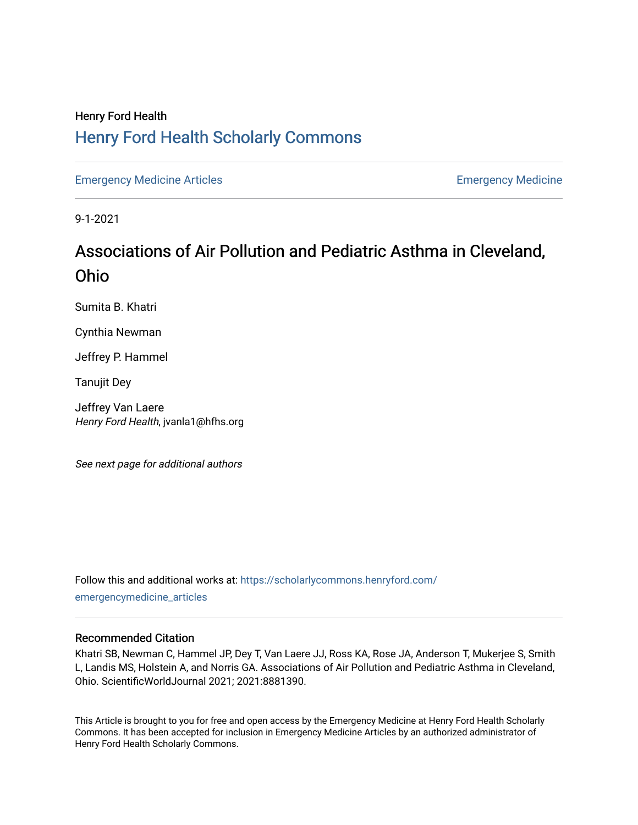## Henry Ford Health [Henry Ford Health Scholarly Commons](https://scholarlycommons.henryford.com/)

[Emergency Medicine Articles](https://scholarlycommons.henryford.com/emergencymedicine_articles) [Emergency Medicine](https://scholarlycommons.henryford.com/emergencymedicine) 

9-1-2021

# Associations of Air Pollution and Pediatric Asthma in Cleveland, Ohio

Sumita B. Khatri

Cynthia Newman

Jeffrey P. Hammel

Tanujit Dey

Jeffrey Van Laere Henry Ford Health, jvanla1@hfhs.org

See next page for additional authors

Follow this and additional works at: [https://scholarlycommons.henryford.com/](https://scholarlycommons.henryford.com/emergencymedicine_articles?utm_source=scholarlycommons.henryford.com%2Femergencymedicine_articles%2F242&utm_medium=PDF&utm_campaign=PDFCoverPages) [emergencymedicine\\_articles](https://scholarlycommons.henryford.com/emergencymedicine_articles?utm_source=scholarlycommons.henryford.com%2Femergencymedicine_articles%2F242&utm_medium=PDF&utm_campaign=PDFCoverPages) 

## Recommended Citation

Khatri SB, Newman C, Hammel JP, Dey T, Van Laere JJ, Ross KA, Rose JA, Anderson T, Mukerjee S, Smith L, Landis MS, Holstein A, and Norris GA. Associations of Air Pollution and Pediatric Asthma in Cleveland, Ohio. ScientificWorldJournal 2021; 2021:8881390.

This Article is brought to you for free and open access by the Emergency Medicine at Henry Ford Health Scholarly Commons. It has been accepted for inclusion in Emergency Medicine Articles by an authorized administrator of Henry Ford Health Scholarly Commons.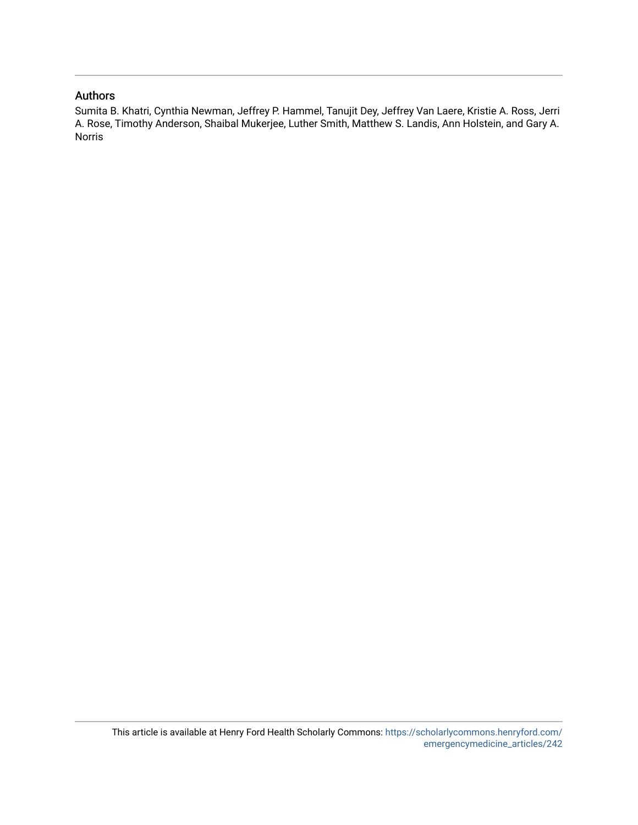### Authors

Sumita B. Khatri, Cynthia Newman, Jeffrey P. Hammel, Tanujit Dey, Jeffrey Van Laere, Kristie A. Ross, Jerri A. Rose, Timothy Anderson, Shaibal Mukerjee, Luther Smith, Matthew S. Landis, Ann Holstein, and Gary A. Norris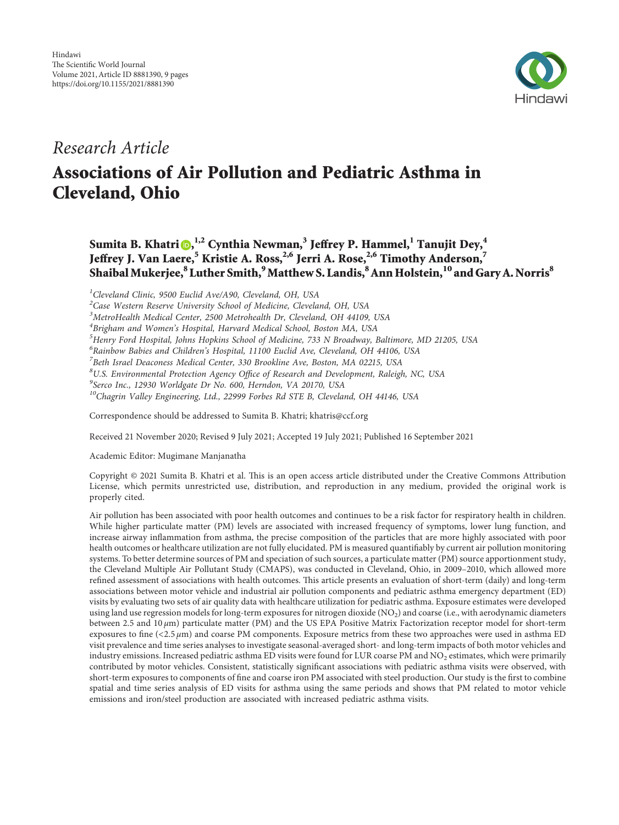

*Research Article*

## **Associations of Air Pollution and Pediatric Asthma in Cleveland, Ohio**

## **Sumita B. Khatri , 1,2 Cynthia Newman,<sup>3</sup> Jeffrey P. Hammel,<sup>1</sup> Tanujit Dey,<sup>4</sup> Jeffrey J. Van Laere,<sup>5</sup> Kristie A. Ross,2,6 Jerri A. Rose,2,6 Timothy Anderson,<sup>7</sup> ShaibalMukerjee,8 Luther Smith,9Matthew S. Landis,8Ann Holstein,10 and Gary A. Norris<sup>8</sup>**

*1 Cleveland Clinic, 9500 Euclid Ave/A90, Cleveland, OH, USA*

*2 Case Western Reserve University School of Medicine, Cleveland, OH, USA*

*3 MetroHealth Medical Center, 2500 Metrohealth Dr, Cleveland, OH 44109, USA*

*4 Brigham and Women's Hospital, Harvard Medical School, Boston MA, USA*

*5 Henry Ford Hospital, Johns Hopkins School of Medicine, 733 N Broadway, Baltimore, MD 21205, USA*

*6 Rainbow Babies and Children's Hospital, 11100 Euclid Ave, Cleveland, OH 44106, USA*

*7 Beth Israel Deaconess Medical Center, 330 Brookline Ave, Boston, MA 02215, USA*

*8 U.S. Environmental Protection Agency Office of Research and Development, Raleigh, NC, USA*

*9 Serco Inc., 12930 Worldgate Dr No. 600, Herndon, VA 20170, USA*

*10Chagrin Valley Engineering, Ltd., 22999 Forbes Rd STE B, Cleveland, OH 44146, USA*

Correspondence should be addressed to Sumita B. Khatri; [khatris@ccf.org](mailto:khatris@ccf.org)

Received 21 November 2020; Revised 9 July 2021; Accepted 19 July 2021; Published 16 September 2021

Academic Editor: Mugimane Manjanatha

Copyright © 2021 Sumita B. Khatri et al. This is an open access article distributed under the [Creative Commons Attribution](https://creativecommons.org/licenses/by/4.0/) [License,](https://creativecommons.org/licenses/by/4.0/) which permits unrestricted use, distribution, and reproduction in any medium, provided the original work is properly cited.

Air pollution has been associated with poor health outcomes and continues to be a risk factor for respiratory health in children. While higher particulate matter (PM) levels are associated with increased frequency of symptoms, lower lung function, and increase airway inflammation from asthma, the precise composition of the particles that are more highly associated with poor health outcomes or healthcare utilization are not fully elucidated. PM is measured quantifiably by current air pollution monitoring systems. To better determine sources of PM and speciation of such sources, a particulate matter (PM) source apportionment study, the Cleveland Multiple Air Pollutant Study (CMAPS), was conducted in Cleveland, Ohio, in 2009–2010, which allowed more refined assessment of associations with health outcomes. This article presents an evaluation of short-term (daily) and long-term associations between motor vehicle and industrial air pollution components and pediatric asthma emergency department (ED) visits by evaluating two sets of air quality data with healthcare utilization for pediatric asthma. Exposure estimates were developed using land use regression models for long-term exposures for nitrogen dioxide (NO2) and coarse (i.e., with aerodynamic diameters between 2.5 and 10 *μ*m) particulate matter (PM) and the US EPA Positive Matrix Factorization receptor model for short-term exposures to fine  $( $2.5 \mu m$ )$  and coarse PM components. Exposure metrics from these two approaches were used in asthma ED visit prevalence and time series analyses to investigate seasonal-averaged short- and long-term impacts of both motor vehicles and industry emissions. Increased pediatric asthma ED visits were found for LUR coarse PM and NO<sub>2</sub> estimates, which were primarily contributed by motor vehicles. Consistent, statistically significant associations with pediatric asthma visits were observed, with short-term exposures to components of fine and coarse iron PM associated with steel production. Our study is the first to combine spatial and time series analysis of ED visits for asthma using the same periods and shows that PM related to motor vehicle emissions and iron/steel production are associated with increased pediatric asthma visits.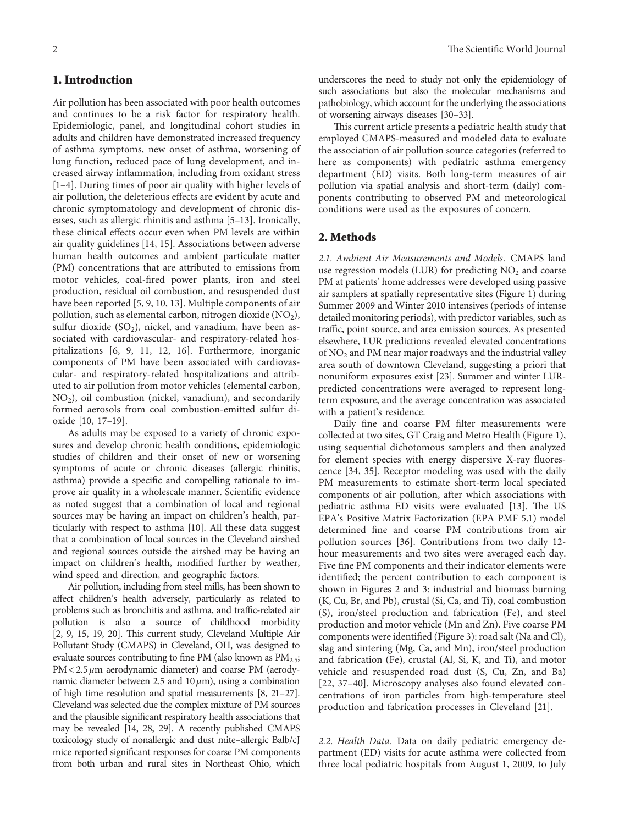### **1. Introduction**

Air pollution has been associated with poor health outcomes and continues to be a risk factor for respiratory health. Epidemiologic, panel, and longitudinal cohort studies in adults and children have demonstrated increased frequency of asthma symptoms, new onset of asthma, worsening of lung function, reduced pace of lung development, and increased airway inflammation, including from oxidant stress [\[1–4\]](#page-9-0). During times of poor air quality with higher levels of air pollution, the deleterious effects are evident by acute and chronic symptomatology and development of chronic diseases, such as allergic rhinitis and asthma [\[5–13](#page-9-0)]. Ironically, these clinical effects occur even when PM levels are within air quality guidelines [[14, 15](#page-9-0)]. Associations between adverse human health outcomes and ambient particulate matter (PM) concentrations that are attributed to emissions from motor vehicles, coal-fired power plants, iron and steel production, residual oil combustion, and resuspended dust have been reported [[5](#page-9-0), [9](#page-9-0), [10](#page-9-0), [13](#page-9-0)]. Multiple components of air pollution, such as elemental carbon, nitrogen dioxide  $(NO<sub>2</sub>)$ , sulfur dioxide  $(SO<sub>2</sub>)$ , nickel, and vanadium, have been associated with cardiovascular- and respiratory-related hospitalizations [\[6](#page-9-0), [9](#page-9-0), [11](#page-9-0), [12](#page-9-0), [16](#page-9-0)]. Furthermore, inorganic components of PM have been associated with cardiovascular- and respiratory-related hospitalizations and attributed to air pollution from motor vehicles (elemental carbon, NO2), oil combustion (nickel, vanadium), and secondarily formed aerosols from coal combustion-emitted sulfur dioxide [[10, 17–19](#page-9-0)].

As adults may be exposed to a variety of chronic exposures and develop chronic health conditions, epidemiologic studies of children and their onset of new or worsening symptoms of acute or chronic diseases (allergic rhinitis, asthma) provide a specific and compelling rationale to improve air quality in a wholescale manner. Scientific evidence as noted suggest that a combination of local and regional sources may be having an impact on children's health, particularly with respect to asthma [\[10](#page-9-0)]. All these data suggest that a combination of local sources in the Cleveland airshed and regional sources outside the airshed may be having an impact on children's health, modified further by weather, wind speed and direction, and geographic factors.

Air pollution, including from steel mills, has been shown to affect children's health adversely, particularly as related to problems such as bronchitis and asthma, and traffic-related air pollution is also a source of childhood morbidity [\[2, 9](#page-9-0), [15, 19, 20\]](#page-9-0). This current study, Cleveland Multiple Air Pollutant Study (CMAPS) in Cleveland, OH, was designed to evaluate sources contributing to fine PM (also known as  $PM_{2.5}$ ; PM<2.5 *μ*m aerodynamic diameter) and coarse PM (aerodynamic diameter between 2.5 and 10 *μ*m), using a combination of high time resolution and spatial measurements [[8](#page-9-0), [21](#page-9-0)–[27\]](#page-10-0). Cleveland was selected due the complex mixture of PM sources and the plausible significant respiratory health associations that may be revealed [[14](#page-9-0), [28, 29](#page-10-0)]. A recently published CMAPS toxicology study of nonallergic and dust mite–allergic Balb/cJ mice reported significant responses for coarse PM components from both urban and rural sites in Northeast Ohio, which

underscores the need to study not only the epidemiology of such associations but also the molecular mechanisms and pathobiology, which account for the underlying the associations of worsening airways diseases [[30–33\]](#page-10-0).

This current article presents a pediatric health study that employed CMAPS-measured and modeled data to evaluate the association of air pollution source categories (referred to here as components) with pediatric asthma emergency department (ED) visits. Both long-term measures of air pollution via spatial analysis and short-term (daily) components contributing to observed PM and meteorological conditions were used as the exposures of concern.

#### **2. Methods**

*2.1. Ambient Air Measurements and Models.* CMAPS land use regression models (LUR) for predicting  $NO<sub>2</sub>$  and coarse PM at patients' home addresses were developed using passive air samplers at spatially representative sites (Figure [1\)](#page-4-0) during Summer 2009 and Winter 2010 intensives (periods of intense detailed monitoring periods), with predictor variables, such as traffic, point source, and area emission sources. As presented elsewhere, LUR predictions revealed elevated concentrations of NO<sub>2</sub> and PM near major roadways and the industrial valley area south of downtown Cleveland, suggesting a priori that nonuniform exposures exist [\[23\]](#page-9-0). Summer and winter LURpredicted concentrations were averaged to represent longterm exposure, and the average concentration was associated with a patient's residence.

Daily fine and coarse PM filter measurements were collected at two sites, GT Craig and Metro Health (Figure [1](#page-4-0)), using sequential dichotomous samplers and then analyzed for element species with energy dispersive X-ray fluorescence [\[34, 35\]](#page-10-0). Receptor modeling was used with the daily PM measurements to estimate short-term local speciated components of air pollution, after which associations with pediatric asthma ED visits were evaluated [\[13](#page-9-0)]. The US EPA's Positive Matrix Factorization (EPA PMF 5.1) model determined fine and coarse PM contributions from air pollution sources [[36](#page-10-0)]. Contributions from two daily 12 hour measurements and two sites were averaged each day. Five fine PM components and their indicator elements were identified; the percent contribution to each component is shown in Figures [2](#page-5-0) and [3:](#page-5-0) industrial and biomass burning (K, Cu, Br, and Pb), crustal (Si, Ca, and Ti), coal combustion (S), iron/steel production and fabrication (Fe), and steel production and motor vehicle (Mn and Zn). Five coarse PM components were identified (Figure [3](#page-5-0)): road salt (Na and Cl), slag and sintering (Mg, Ca, and Mn), iron/steel production and fabrication (Fe), crustal (Al, Si, K, and Ti), and motor vehicle and resuspended road dust (S, Cu, Zn, and Ba) [\[22,](#page-9-0) [37–40](#page-10-0)]. Microscopy analyses also found elevated concentrations of iron particles from high-temperature steel production and fabrication processes in Cleveland [[21\]](#page-9-0).

*2.2. Health Data.* Data on daily pediatric emergency department (ED) visits for acute asthma were collected from three local pediatric hospitals from August 1, 2009, to July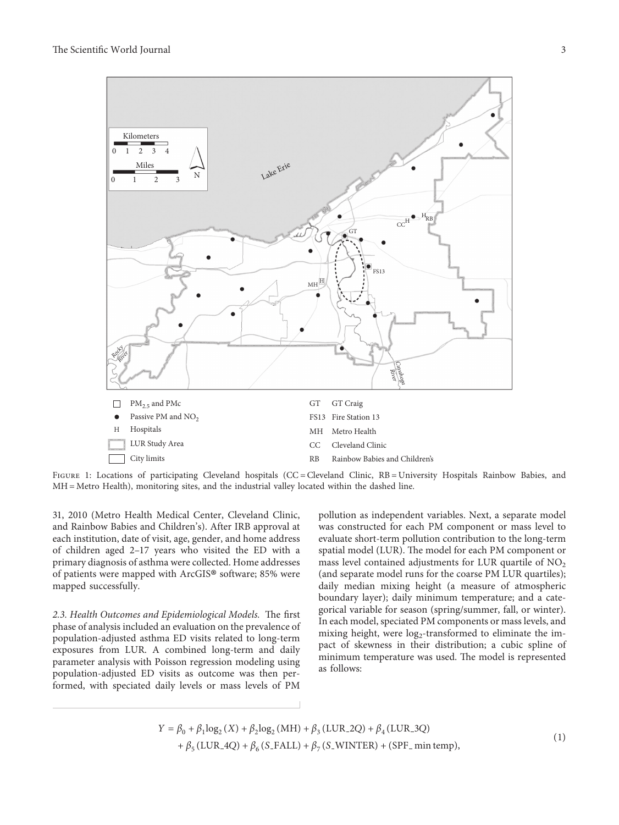<span id="page-4-0"></span>

FIGURE 1: Locations of participating Cleveland hospitals (CC = Cleveland Clinic, RB = University Hospitals Rainbow Babies, and MH = Metro Health), monitoring sites, and the industrial valley located within the dashed line.

31, 2010 (Metro Health Medical Center, Cleveland Clinic, and Rainbow Babies and Children's). After IRB approval at each institution, date of visit, age, gender, and home address of children aged 2–17 years who visited the ED with a primary diagnosis of asthma were collected. Home addresses of patients were mapped with ArcGIS® software; 85% were mapped successfully.

2.3. Health Outcomes and Epidemiological Models. The first phase of analysis included an evaluation on the prevalence of population-adjusted asthma ED visits related to long-term exposures from LUR. A combined long-term and daily parameter analysis with Poisson regression modeling using population-adjusted ED visits as outcome was then performed, with speciated daily levels or mass levels of PM

pollution as independent variables. Next, a separate model was constructed for each PM component or mass level to evaluate short-term pollution contribution to the long-term spatial model (LUR). The model for each PM component or mass level contained adjustments for LUR quartile of  $NO<sub>2</sub>$ (and separate model runs for the coarse PM LUR quartiles); daily median mixing height (a measure of atmospheric boundary layer); daily minimum temperature; and a categorical variable for season (spring/summer, fall, or winter). In each model, speciated PM components or mass levels, and mixing height, were  $log_2$ -transformed to eliminate the impact of skewness in their distribution; a cubic spline of minimum temperature was used. The model is represented as follows:

 $Y = \beta_0 + \beta_1 \log_2(X) + \beta_2 \log_2(MH) + \beta_3(LUR_2Q) + \beta_4(LUR_3Q)$  $+ \beta_5(LUR_4Q) + \beta_6(S_4FALL) + \beta_7(S_4FINTER) + (SPF_4FINIER)$ , (1)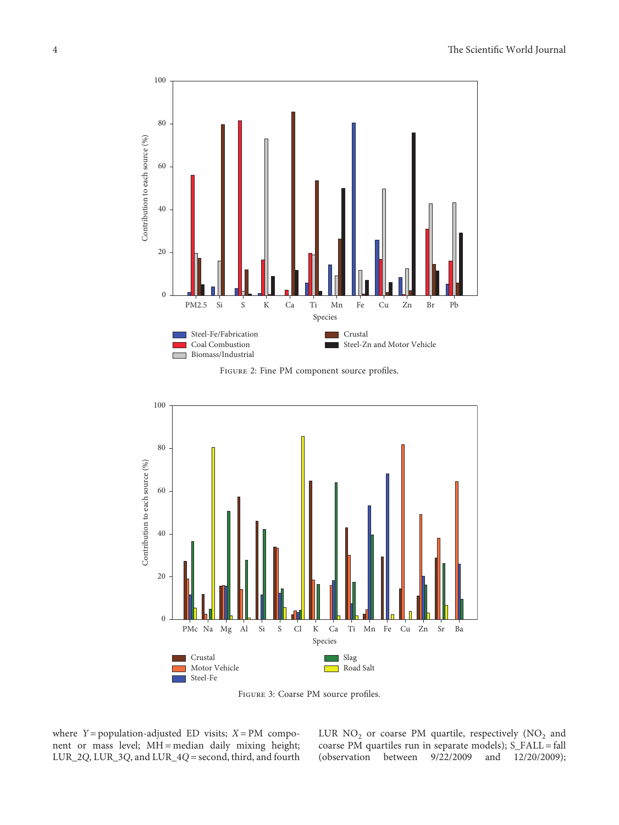<span id="page-5-0"></span>

Figure 2: Fine PM component source profiles.



Figure 3: Coarse PM source profiles.

where  $Y = population-adjuated ED visits; X = PM compo$ nent or mass level; MH = median daily mixing height; LUR\_2*Q*, LUR\_3*Q*, and LUR\_4*Q* � second, third, and fourth LUR  $NO<sub>2</sub>$  or coarse PM quartile, respectively ( $NO<sub>2</sub>$  and coarse PM quartiles run in separate models);  $S_FALL = fall$ (observation between 9/22/2009 and 12/20/2009);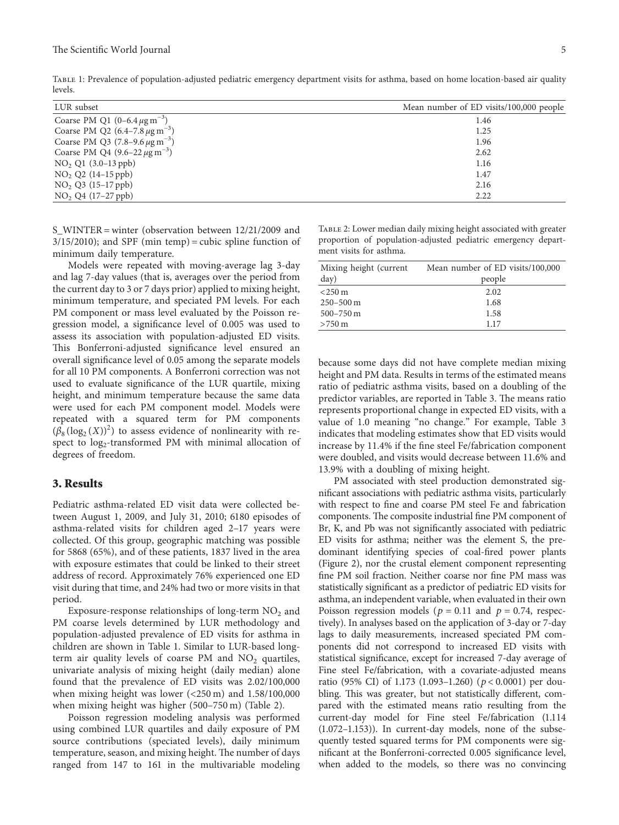| LUR subset                                       | Mean number of ED visits/100,000 people |
|--------------------------------------------------|-----------------------------------------|
| Coarse PM Q1 $(0-6.4 \,\mu g \,\text{m}^{-3})$   | 1.46                                    |
| Coarse PM Q2 $(6.4-7.8 \,\mu g \,\text{m}^{-3})$ | 1.25                                    |
| Coarse PM Q3 $(7.8-9.6 \,\mu g \,\text{m}^{-3})$ | 1.96                                    |
| Coarse PM Q4 $(9.6-22 \mu g m^{-3})$             | 2.62                                    |
| NO <sub>2</sub> Q1 (3.0–13 ppb)                  | 1.16                                    |
| $NO2$ $Q2$ (14–15 ppb)                           | 1.47                                    |
| $NO2 Q3 (15-17 ppb)$                             | 2.16                                    |
| $NO2 Q4 (17-27 ppb)$                             | 2.22                                    |

<span id="page-6-0"></span>Table 1: Prevalence of population-adjusted pediatric emergency department visits for asthma, based on home location-based air quality levels.

S\_WINTER = winter (observation between 12/21/2009 and  $3/15/2010$ ); and SPF (min temp) = cubic spline function of minimum daily temperature.

Models were repeated with moving-average lag 3-day and lag 7-day values (that is, averages over the period from the current day to 3 or 7 days prior) applied to mixing height, minimum temperature, and speciated PM levels. For each PM component or mass level evaluated by the Poisson regression model, a significance level of 0.005 was used to assess its association with population-adjusted ED visits. This Bonferroni-adjusted significance level ensured an overall significance level of 0.05 among the separate models for all 10 PM components. A Bonferroni correction was not used to evaluate significance of the LUR quartile, mixing height, and minimum temperature because the same data were used for each PM component model. Models were repeated with a squared term for PM components  $(\beta_8(\log_2(X))^2)$  to assess evidence of nonlinearity with respect to  $log_2$ -transformed PM with minimal allocation of degrees of freedom.

#### **3. Results**

Pediatric asthma-related ED visit data were collected between August 1, 2009, and July 31, 2010; 6180 episodes of asthma-related visits for children aged 2–17 years were collected. Of this group, geographic matching was possible for 5868 (65%), and of these patients, 1837 lived in the area with exposure estimates that could be linked to their street address of record. Approximately 76% experienced one ED visit during that time, and 24% had two or more visits in that period.

Exposure-response relationships of long-term  $NO<sub>2</sub>$  and PM coarse levels determined by LUR methodology and population-adjusted prevalence of ED visits for asthma in children are shown in Table 1. Similar to LUR-based longterm air quality levels of coarse PM and  $NO<sub>2</sub>$  quartiles, univariate analysis of mixing height (daily median) alone found that the prevalence of ED visits was 2.02/100,000 when mixing height was lower (<250 m) and 1.58/100,000 when mixing height was higher (500–750 m) (Table 2).

Poisson regression modeling analysis was performed using combined LUR quartiles and daily exposure of PM source contributions (speciated levels), daily minimum temperature, season, and mixing height. The number of days ranged from 147 to 161 in the multivariable modeling

Table 2: Lower median daily mixing height associated with greater proportion of population-adjusted pediatric emergency department visits for asthma.

| Mixing height (current | Mean number of ED visits/100,000 |  |
|------------------------|----------------------------------|--|
| day)                   | people                           |  |
| $<$ 250 m              | 2.02                             |  |
| $250 - 500$ m          | 1.68                             |  |
| $500 - 750$ m          | 1.58                             |  |
| $>750 \text{ m}$       | 1.17                             |  |

because some days did not have complete median mixing height and PM data. Results in terms of the estimated means ratio of pediatric asthma visits, based on a doubling of the predictor variables, are reported in Table [3.](#page-7-0) The means ratio represents proportional change in expected ED visits, with a value of 1.0 meaning "no change." For example, Table [3](#page-7-0) indicates that modeling estimates show that ED visits would increase by 11.4% if the fine steel Fe/fabrication component were doubled, and visits would decrease between 11.6% and 13.9% with a doubling of mixing height.

PM associated with steel production demonstrated significant associations with pediatric asthma visits, particularly with respect to fine and coarse PM steel Fe and fabrication components. The composite industrial fine PM component of Br, K, and Pb was not significantly associated with pediatric ED visits for asthma; neither was the element S, the predominant identifying species of coal-fired power plants (Figure [2\)](#page-5-0), nor the crustal element component representing fine PM soil fraction. Neither coarse nor fine PM mass was statistically significant as a predictor of pediatric ED visits for asthma, an independent variable, when evaluated in their own Poisson regression models ( $p = 0.11$  and  $p = 0.74$ , respectively). In analyses based on the application of 3-day or 7-day lags to daily measurements, increased speciated PM components did not correspond to increased ED visits with statistical significance, except for increased 7-day average of Fine steel Fe/fabrication, with a covariate-adjusted means ratio (95% CI) of 1.173 (1.093–1.260) (*p* < 0*.*0001) per doubling. This was greater, but not statistically different, compared with the estimated means ratio resulting from the current-day model for Fine steel Fe/fabrication (1.114 (1.072–1.153)). In current-day models, none of the subsequently tested squared terms for PM components were significant at the Bonferroni-corrected 0.005 significance level, when added to the models, so there was no convincing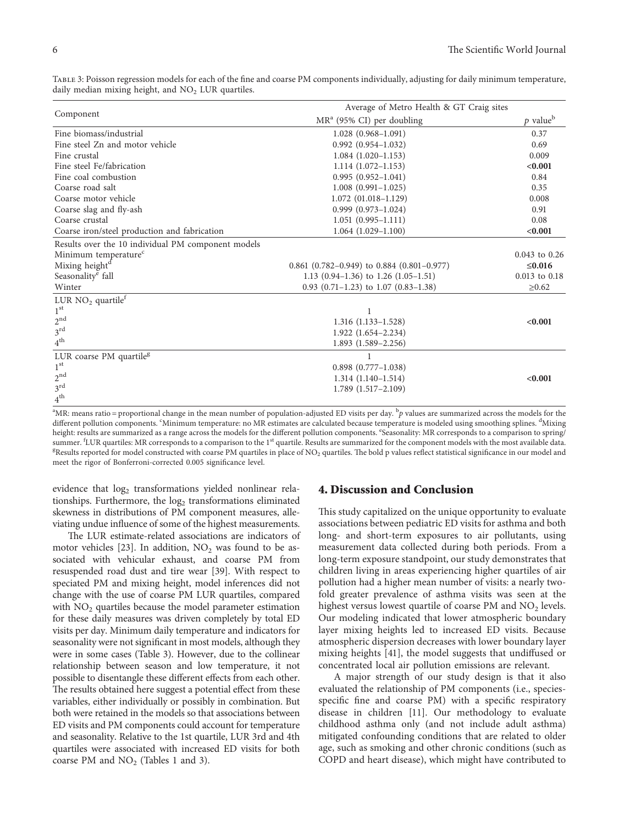| Component                                          | Average of Metro Health & GT Craig sites     |                        |  |
|----------------------------------------------------|----------------------------------------------|------------------------|--|
|                                                    | $MRa$ (95% CI) per doubling                  | $p$ value <sup>b</sup> |  |
| Fine biomass/industrial                            | $1.028(0.968 - 1.091)$                       | 0.37                   |  |
| Fine steel Zn and motor vehicle                    | $0.992(0.954 - 1.032)$                       | 0.69                   |  |
| Fine crustal                                       | $1.084(1.020-1.153)$                         | 0.009                  |  |
| Fine steel Fe/fabrication                          | $1.114(1.072 - 1.153)$                       | < 0.001                |  |
| Fine coal combustion                               | $0.995(0.952 - 1.041)$                       | 0.84                   |  |
| Coarse road salt                                   | $1.008(0.991-1.025)$                         | 0.35                   |  |
| Coarse motor vehicle                               | $1.072$ (01.018-1.129)                       | 0.008                  |  |
| Coarse slag and fly-ash                            | $0.999(0.973 - 1.024)$                       | 0.91                   |  |
| Coarse crustal                                     | $1.051(0.995 - 1.111)$                       | 0.08                   |  |
| Coarse iron/steel production and fabrication       | $1.064(1.029-1.100)$                         | < 0.001                |  |
| Results over the 10 individual PM component models |                                              |                        |  |
| Minimum temperature <sup>c</sup>                   |                                              | $0.043$ to $0.26$      |  |
| Mixing height <sup>d</sup>                         | $0.861$ (0.782–0.949) to 0.884 (0.801–0.977) | $≤0.016$               |  |
| Seasonality <sup>e</sup> fall                      | 1.13 $(0.94-1.36)$ to 1.26 $(1.05-1.51)$     | $0.013$ to $0.18$      |  |
| Winter                                             | $0.93$ (0.71-1.23) to 1.07 (0.83-1.38)       | $\geq 0.62$            |  |
| LUR $NO2$ quartile <sup>f</sup>                    |                                              |                        |  |
| 1 <sup>st</sup>                                    | 1                                            |                        |  |
| 2 <sup>nd</sup>                                    | $1.316(1.133 - 1.528)$                       | < 0.001                |  |
| $3^{\text{rd}}$                                    | $1.922(1.654 - 2.234)$                       |                        |  |
| $4^{\text{th}}$                                    | $1.893(1.589 - 2.256)$                       |                        |  |
| LUR coarse PM quartile <sup>g</sup>                |                                              |                        |  |
| 1 <sup>st</sup>                                    | $0.898$ $(0.777 - 1.038)$                    |                        |  |
| $2^{\text{nd}}$                                    | $1.314(1.140-1.514)$                         | < 0.001                |  |
| $3^{\text{rd}}$                                    | $1.789$ $(1.517 - 2.109)$                    |                        |  |
| $4^{\text{th}}$                                    |                                              |                        |  |

<span id="page-7-0"></span>Table 3: Poisson regression models for each of the fine and coarse PM components individually, adjusting for daily minimum temperature, daily median mixing height, and  $NO<sub>2</sub> LUR$  quartiles.

<sup>a</sup>MR: means ratio = proportional change in the mean number of population-adjusted ED visits per day. <sup>b</sup>p values are summarized across the models for the different pollution components. "Minimum temperature: no MR estimates are calculated because temperature is modeled using smoothing splines. <sup>d</sup>Mixing height: results are summarized as a range across the models for the different pollution components. "Seasonality: MR corresponds to a comparison to spring summer. <sup>f</sup>LUR quartiles: MR corresponds to a comparison to the 1<sup>st</sup> quartile. Results are summarized for the component models with the most available data.<br><sup>g</sup>Results reported for model constructed with coarse PM quartil <sup>g</sup>Results reported for model constructed with coarse PM quartiles in place of NO<sub>2</sub> quartiles. The bold p values reflect statistical significance in our model and meet the rigor of Bonferroni-corrected 0.005 significance level.

evidence that log<sub>2</sub> transformations yielded nonlinear relationships. Furthermore, the log<sub>2</sub> transformations eliminated skewness in distributions of PM component measures, alleviating undue influence of some of the highest measurements.

The LUR estimate-related associations are indicators of motor vehicles [\[23\]](#page-9-0). In addition,  $NO<sub>2</sub>$  was found to be associated with vehicular exhaust, and coarse PM from resuspended road dust and tire wear [[39\]](#page-10-0). With respect to speciated PM and mixing height, model inferences did not change with the use of coarse PM LUR quartiles, compared with  $NO<sub>2</sub>$  quartiles because the model parameter estimation for these daily measures was driven completely by total ED visits per day. Minimum daily temperature and indicators for seasonality were not significant in most models, although they were in some cases (Table 3). However, due to the collinear relationship between season and low temperature, it not possible to disentangle these different effects from each other. The results obtained here suggest a potential effect from these variables, either individually or possibly in combination. But both were retained in the models so that associations between ED visits and PM components could account for temperature and seasonality. Relative to the 1st quartile, LUR 3rd and 4th quartiles were associated with increased ED visits for both coarse PM and  $NO<sub>2</sub>$  (Tables [1](#page-6-0) and 3).

#### **4. Discussion and Conclusion**

This study capitalized on the unique opportunity to evaluate associations between pediatric ED visits for asthma and both long- and short-term exposures to air pollutants, using measurement data collected during both periods. From a long-term exposure standpoint, our study demonstrates that children living in areas experiencing higher quartiles of air pollution had a higher mean number of visits: a nearly twofold greater prevalence of asthma visits was seen at the highest versus lowest quartile of coarse PM and  $NO<sub>2</sub>$  levels. Our modeling indicated that lower atmospheric boundary layer mixing heights led to increased ED visits. Because atmospheric dispersion decreases with lower boundary layer mixing heights [\[41](#page-10-0)], the model suggests that undiffused or concentrated local air pollution emissions are relevant.

A major strength of our study design is that it also evaluated the relationship of PM components (i.e., speciesspecific fine and coarse PM) with a specific respiratory disease in children [\[11](#page-9-0)]. Our methodology to evaluate childhood asthma only (and not include adult asthma) mitigated confounding conditions that are related to older age, such as smoking and other chronic conditions (such as COPD and heart disease), which might have contributed to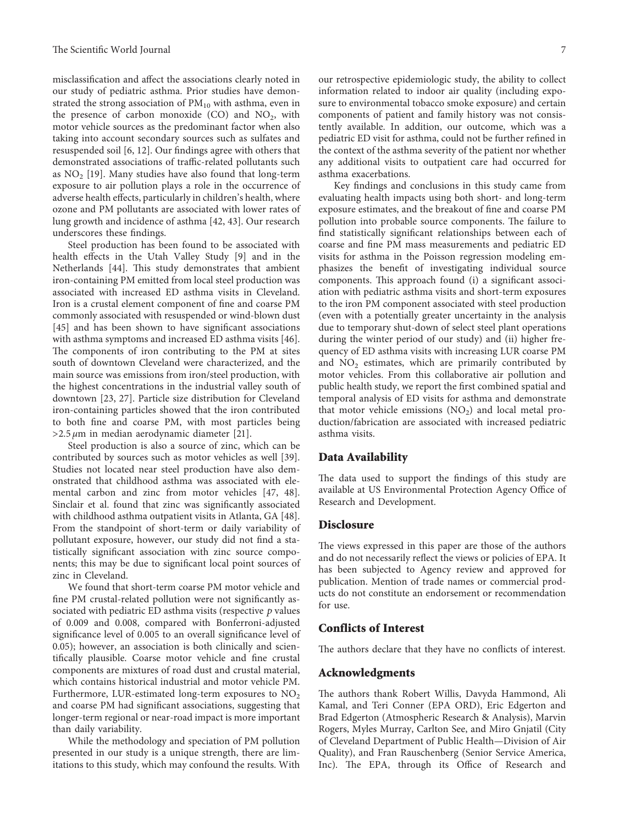misclassification and affect the associations clearly noted in our study of pediatric asthma. Prior studies have demonstrated the strong association of  $PM_{10}$  with asthma, even in the presence of carbon monoxide  $(CO)$  and  $NO<sub>2</sub>$ , with motor vehicle sources as the predominant factor when also taking into account secondary sources such as sulfates and resuspended soil [\[6](#page-9-0), [12](#page-9-0)]. Our findings agree with others that demonstrated associations of traffic-related pollutants such as  $NO<sub>2</sub>$  [[19\]](#page-9-0). Many studies have also found that long-term exposure to air pollution plays a role in the occurrence of adverse health effects, particularly in children's health, where ozone and PM pollutants are associated with lower rates of lung growth and incidence of asthma [[42](#page-10-0), [43](#page-10-0)]. Our research underscores these findings.

Steel production has been found to be associated with health effects in the Utah Valley Study [[9\]](#page-9-0) and in the Netherlands [[44](#page-10-0)]. This study demonstrates that ambient iron-containing PM emitted from local steel production was associated with increased ED asthma visits in Cleveland. Iron is a crustal element component of fine and coarse PM commonly associated with resuspended or wind-blown dust [\[45\]](#page-10-0) and has been shown to have significant associations with asthma symptoms and increased ED asthma visits [[46](#page-10-0)]. The components of iron contributing to the PM at sites south of downtown Cleveland were characterized, and the main source was emissions from iron/steel production, with the highest concentrations in the industrial valley south of downtown [[23](#page-9-0), [27](#page-10-0)]. Particle size distribution for Cleveland iron-containing particles showed that the iron contributed to both fine and coarse PM, with most particles being >2.5 *μ*m in median aerodynamic diameter [[21\]](#page-9-0).

Steel production is also a source of zinc, which can be contributed by sources such as motor vehicles as well [[39](#page-10-0)]. Studies not located near steel production have also demonstrated that childhood asthma was associated with elemental carbon and zinc from motor vehicles [\[47, 48](#page-10-0)]. Sinclair et al. found that zinc was significantly associated with childhood asthma outpatient visits in Atlanta, GA [[48](#page-10-0)]. From the standpoint of short-term or daily variability of pollutant exposure, however, our study did not find a statistically significant association with zinc source components; this may be due to significant local point sources of zinc in Cleveland.

We found that short-term coarse PM motor vehicle and fine PM crustal-related pollution were not significantly associated with pediatric ED asthma visits (respective *p* values of 0.009 and 0.008, compared with Bonferroni-adjusted significance level of 0.005 to an overall significance level of 0.05); however, an association is both clinically and scientifically plausible. Coarse motor vehicle and fine crustal components are mixtures of road dust and crustal material, which contains historical industrial and motor vehicle PM. Furthermore, LUR-estimated long-term exposures to  $NO<sub>2</sub>$ and coarse PM had significant associations, suggesting that longer-term regional or near-road impact is more important than daily variability.

While the methodology and speciation of PM pollution presented in our study is a unique strength, there are limitations to this study, which may confound the results. With our retrospective epidemiologic study, the ability to collect information related to indoor air quality (including exposure to environmental tobacco smoke exposure) and certain components of patient and family history was not consistently available. In addition, our outcome, which was a pediatric ED visit for asthma, could not be further refined in the context of the asthma severity of the patient nor whether any additional visits to outpatient care had occurred for asthma exacerbations.

Key findings and conclusions in this study came from evaluating health impacts using both short- and long-term exposure estimates, and the breakout of fine and coarse PM pollution into probable source components. The failure to find statistically significant relationships between each of coarse and fine PM mass measurements and pediatric ED visits for asthma in the Poisson regression modeling emphasizes the benefit of investigating individual source components. This approach found (i) a significant association with pediatric asthma visits and short-term exposures to the iron PM component associated with steel production (even with a potentially greater uncertainty in the analysis due to temporary shut-down of select steel plant operations during the winter period of our study) and (ii) higher frequency of ED asthma visits with increasing LUR coarse PM and  $NO<sub>2</sub>$  estimates, which are primarily contributed by motor vehicles. From this collaborative air pollution and public health study, we report the first combined spatial and temporal analysis of ED visits for asthma and demonstrate that motor vehicle emissions  $(NO<sub>2</sub>)$  and local metal production/fabrication are associated with increased pediatric asthma visits.

#### **Data Availability**

The data used to support the findings of this study are available at US Environmental Protection Agency Office of Research and Development.

#### **Disclosure**

The views expressed in this paper are those of the authors and do not necessarily reflect the views or policies of EPA. It has been subjected to Agency review and approved for publication. Mention of trade names or commercial products do not constitute an endorsement or recommendation for use.

#### **Conflicts of Interest**

The authors declare that they have no conflicts of interest.

#### **Acknowledgments**

The authors thank Robert Willis, Davyda Hammond, Ali Kamal, and Teri Conner (EPA ORD), Eric Edgerton and Brad Edgerton (Atmospheric Research & Analysis), Marvin Rogers, Myles Murray, Carlton See, and Miro Gnjatil (City of Cleveland Department of Public Health—Division of Air Quality), and Fran Rauschenberg (Senior Service America, Inc). The EPA, through its Office of Research and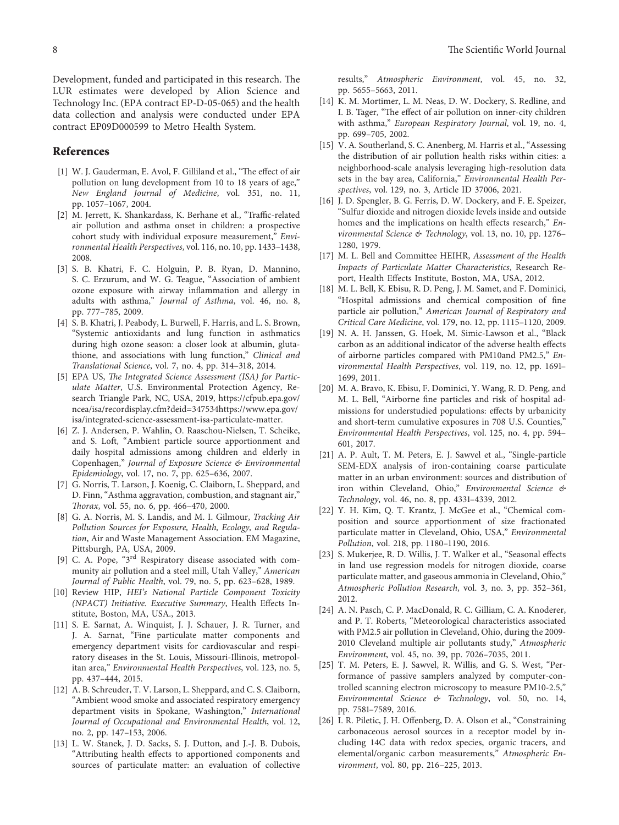<span id="page-9-0"></span>Development, funded and participated in this research. The LUR estimates were developed by Alion Science and Technology Inc. (EPA contract EP-D-05-065) and the health data collection and analysis were conducted under EPA contract EP09D000599 to Metro Health System.

#### **References**

- [1] W. J. Gauderman, E. Avol, F. Gilliland et al., "The effect of air pollution on lung development from 10 to 18 years of age," *New England Journal of Medicine*, vol. 351, no. 11, pp. 1057–1067, 2004.
- [2] M. Jerrett, K. Shankardass, K. Berhane et al., "Traffic-related air pollution and asthma onset in children: a prospective cohort study with individual exposure measurement," *Environmental Health Perspectives*, vol. 116, no. 10, pp. 1433–1438, 2008.
- [3] S. B. Khatri, F. C. Holguin, P. B. Ryan, D. Mannino, S. C. Erzurum, and W. G. Teague, "Association of ambient ozone exposure with airway inflammation and allergy in adults with asthma," *Journal of Asthma*, vol. 46, no. 8, pp. 777–785, 2009.
- [4] S. B. Khatri, J. Peabody, L. Burwell, F. Harris, and L. S. Brown, "Systemic antioxidants and lung function in asthmatics during high ozone season: a closer look at albumin, glutathione, and associations with lung function," *Clinical and Translational Science*, vol. 7, no. 4, pp. 314–318, 2014.
- [5] EPA US, *The Integrated Science Assessment (ISA) for Particulate Matter*, U.S. Environmental Protection Agency, Research Triangle Park, NC, USA, 2019, [https://cfpub.epa.gov/](https://cfpub.epa.gov/ncea/isa/recordisplay.cfm?deid=347534) [ncea/isa/recordisplay.cfm?deid=347534](https://cfpub.epa.gov/ncea/isa/recordisplay.cfm?deid=347534)[https://www.epa.gov/](https://www.epa.gov/isa/integrated-science-assessment-isa-particulate-matter) [isa/integrated-science-assessment-isa-particulate-matter](https://www.epa.gov/isa/integrated-science-assessment-isa-particulate-matter).
- [6] Z. J. Andersen, P. Wahlin, O. Raaschou-Nielsen, T. Scheike, and S. Loft, "Ambient particle source apportionment and daily hospital admissions among children and elderly in Copenhagen," *Journal of Exposure Science & Environmental Epidemiology*, vol. 17, no. 7, pp. 625–636, 2007.
- [7] G. Norris, T. Larson, J. Koenig, C. Claiborn, L. Sheppard, and D. Finn, "Asthma aggravation, combustion, and stagnant air," *@orax*, vol. 55, no. 6, pp. 466–470, 2000.
- [8] G. A. Norris, M. S. Landis, and M. I. Gilmour, *Tracking Air Pollution Sources for Exposure, Health, Ecology, and Regulation*, Air and Waste Management Association. EM Magazine, Pittsburgh, PA, USA, 2009.
- [9] C. A. Pope, "3<sup>rd</sup> Respiratory disease associated with community air pollution and a steel mill, Utah Valley," *American Journal of Public Health*, vol. 79, no. 5, pp. 623–628, 1989.
- [10] Review HIP, *HEI's National Particle Component Toxicity (NPACT) Initiative. Executive Summary*, Health Effects Institute, Boston, MA, USA., 2013.
- [11] S. E. Sarnat, A. Winquist, J. J. Schauer, J. R. Turner, and J. A. Sarnat, "Fine particulate matter components and emergency department visits for cardiovascular and respiratory diseases in the St. Louis, Missouri-Illinois, metropolitan area," *Environmental Health Perspectives*, vol. 123, no. 5, pp. 437–444, 2015.
- [12] A. B. Schreuder, T. V. Larson, L. Sheppard, and C. S. Claiborn, "Ambient wood smoke and associated respiratory emergency department visits in Spokane, Washington," *International Journal of Occupational and Environmental Health*, vol. 12, no. 2, pp. 147–153, 2006.
- [13] L. W. Stanek, J. D. Sacks, S. J. Dutton, and J.-J. B. Dubois, "Attributing health effects to apportioned components and sources of particulate matter: an evaluation of collective

results," *Atmospheric Environment*, vol. 45, no. 32, pp. 5655–5663, 2011.

- [14] K. M. Mortimer, L. M. Neas, D. W. Dockery, S. Redline, and I. B. Tager, "The effect of air pollution on inner-city children with asthma," *European Respiratory Journal*, vol. 19, no. 4, pp. 699–705, 2002.
- [15] V. A. Southerland, S. C. Anenberg, M. Harris et al., "Assessing the distribution of air pollution health risks within cities: a neighborhood-scale analysis leveraging high-resolution data sets in the bay area, California," *Environmental Health Perspectives*, vol. 129, no. 3, Article ID 37006, 2021.
- [16] J. D. Spengler, B. G. Ferris, D. W. Dockery, and F. E. Speizer, "Sulfur dioxide and nitrogen dioxide levels inside and outside homes and the implications on health effects research," *Environmental Science & Technology*, vol. 13, no. 10, pp. 1276– 1280, 1979.
- [17] M. L. Bell and Committee HEIHR, *Assessment of the Health Impacts of Particulate Matter Characteristics*, Research Report, Health Effects Institute, Boston, MA, USA, 2012.
- [18] M. L. Bell, K. Ebisu, R. D. Peng, J. M. Samet, and F. Dominici, "Hospital admissions and chemical composition of fine particle air pollution," *American Journal of Respiratory and Critical Care Medicine*, vol. 179, no. 12, pp. 1115–1120, 2009.
- [19] N. A. H. Janssen, G. Hoek, M. Simic-Lawson et al., "Black carbon as an additional indicator of the adverse health effects of airborne particles compared with PM10and PM2.5," *Environmental Health Perspectives*, vol. 119, no. 12, pp. 1691– 1699, 2011.
- [20] M. A. Bravo, K. Ebisu, F. Dominici, Y. Wang, R. D. Peng, and M. L. Bell, "Airborne fine particles and risk of hospital admissions for understudied populations: effects by urbanicity and short-term cumulative exposures in 708 U.S. Counties," *Environmental Health Perspectives*, vol. 125, no. 4, pp. 594– 601, 2017.
- [21] A. P. Ault, T. M. Peters, E. J. Sawvel et al., "Single-particle SEM-EDX analysis of iron-containing coarse particulate matter in an urban environment: sources and distribution of iron within Cleveland, Ohio," *Environmental Science & Technology*, vol. 46, no. 8, pp. 4331–4339, 2012.
- [22] Y. H. Kim, Q. T. Krantz, J. McGee et al., "Chemical composition and source apportionment of size fractionated particulate matter in Cleveland, Ohio, USA," *Environmental Pollution*, vol. 218, pp. 1180–1190, 2016.
- [23] S. Mukerjee, R. D. Willis, J. T. Walker et al., "Seasonal effects in land use regression models for nitrogen dioxide, coarse particulate matter, and gaseous ammonia in Cleveland, Ohio," *Atmospheric Pollution Research*, vol. 3, no. 3, pp. 352–361, 2012.
- [24] A. N. Pasch, C. P. MacDonald, R. C. Gilliam, C. A. Knoderer, and P. T. Roberts, "Meteorological characteristics associated with PM2.5 air pollution in Cleveland, Ohio, during the 2009- 2010 Cleveland multiple air pollutants study," *Atmospheric Environment*, vol. 45, no. 39, pp. 7026–7035, 2011.
- [25] T. M. Peters, E. J. Sawvel, R. Willis, and G. S. West, "Performance of passive samplers analyzed by computer-controlled scanning electron microscopy to measure PM10-2.5," *Environmental Science & Technology*, vol. 50, no. 14, pp. 7581–7589, 2016.
- [26] I. R. Piletic, J. H. Offenberg, D. A. Olson et al., "Constraining carbonaceous aerosol sources in a receptor model by including 14C data with redox species, organic tracers, and elemental/organic carbon measurements," *Atmospheric Environment*, vol. 80, pp. 216–225, 2013.